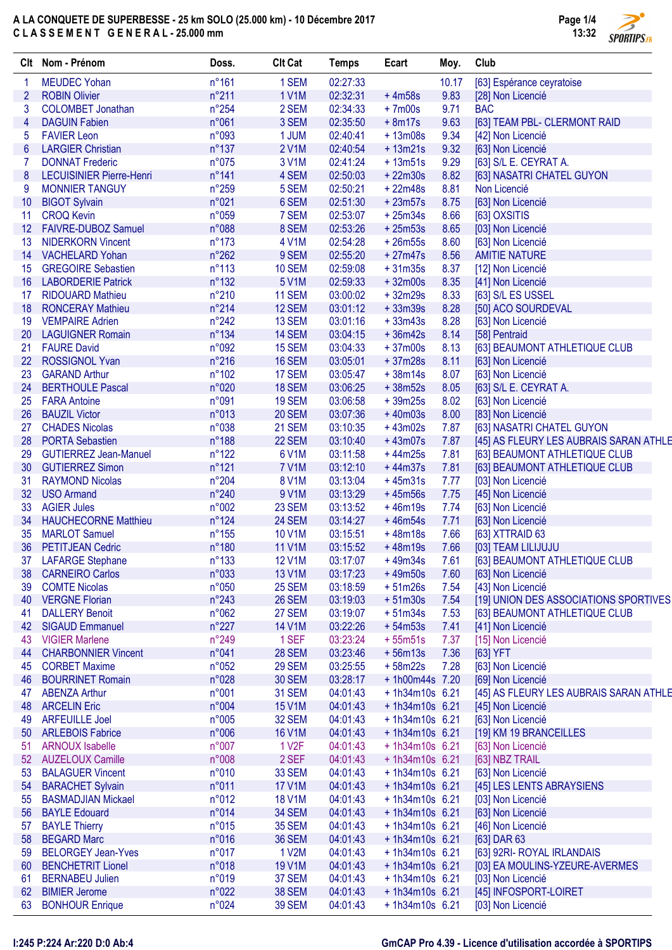# A LA CONQUETE DE SUPERBESSE - 25 km SOLO (25.000 km) - 10 Décembre 2017 C L A S S E M E N T G E N E R A L - 25.000 mm



|    | Clt Nom - Prénom                | Doss.           | <b>Clt Cat</b>     | <b>Temps</b> | Ecart            | Moy.  | Club                                   |
|----|---------------------------------|-----------------|--------------------|--------------|------------------|-------|----------------------------------------|
| 1  | <b>MEUDEC Yohan</b>             | $n^{\circ}161$  | 1 SEM              | 02:27:33     |                  | 10.17 | [63] Espérance ceyratoise              |
| 2  | <b>ROBIN Olivier</b>            | n°211           | <b>1 V1M</b>       | 02:32:31     | $+4m58s$         | 9.83  | [28] Non Licencié                      |
| 3  | <b>COLOMBET Jonathan</b>        | $n^{\circ}254$  | 2 SEM              | 02:34:33     | $+7m00s$         | 9.71  | <b>BAC</b>                             |
| 4  | <b>DAGUIN Fabien</b>            | n°061           | 3 SEM              | 02:35:50     | $+8m17s$         | 9.63  | [63] TEAM PBL- CLERMONT RAID           |
| 5  | <b>FAVIER Leon</b>              | n°093           | 1 JUM              | 02:40:41     | $+13m08s$        | 9.34  | [42] Non Licencié                      |
| 6  | <b>LARGIER Christian</b>        | $n^{\circ}137$  | 2 V1M              | 02:40:54     | $+13m21s$        | 9.32  | [63] Non Licencié                      |
| 7  | <b>DONNAT Frederic</b>          | n°075           | 3 V1M              | 02:41:24     | $+13m51s$        | 9.29  | [63] S/L E. CEYRAT A.                  |
| 8  | <b>LECUISINIER Pierre-Henri</b> | n°141           | 4 SEM              | 02:50:03     | $+22m30s$        | 8.82  | [63] NASATRI CHATEL GUYON              |
| 9  | <b>MONNIER TANGUY</b>           | n°259           | 5 SEM              | 02:50:21     | $+22m48s$        | 8.81  | Non Licencié                           |
| 10 | <b>BIGOT Sylvain</b>            | n°021           | 6 SEM              | 02:51:30     | $+23m57s$        | 8.75  | [63] Non Licencié                      |
| 11 | <b>CROQ Kevin</b>               | n°059           | 7 SEM              | 02:53:07     | $+25m34s$        | 8.66  | [63] OXSITIS                           |
| 12 | FAIVRE-DUBOZ Samuel             | n°088           | 8 SEM              | 02:53:26     | $+25m53s$        | 8.65  | [03] Non Licencié                      |
| 13 | <b>NIDERKORN Vincent</b>        | $n^{\circ}173$  | 4 V1M              | 02:54:28     | $+26m55s$        | 8.60  | [63] Non Licencié                      |
| 14 | <b>VACHELARD Yohan</b>          | $n^{\circ}262$  | 9 SEM              | 02:55:20     | $+27m47s$        | 8.56  | <b>AMITIE NATURE</b>                   |
| 15 | <b>GREGOIRE Sebastien</b>       | $n^{\circ}113$  | <b>10 SEM</b>      | 02:59:08     | $+31m35s$        | 8.37  | [12] Non Licencié                      |
| 16 | <b>LABORDERIE Patrick</b>       | $n^{\circ}132$  | 5 V1M              | 02:59:33     | $+32m00s$        | 8.35  | [41] Non Licencié                      |
| 17 | <b>RIDOUARD Mathieu</b>         | $n^{\circ}210$  | 11 SEM             | 03:00:02     | $+32m29s$        | 8.33  | [63] S/L ES USSEL                      |
| 18 | <b>RONCERAY Mathieu</b>         | $n^{\circ}214$  | 12 SEM             | 03:01:12     | $+33m39s$        | 8.28  | [50] ACO SOURDEVAL                     |
| 19 | <b>VEMPAIRE Adrien</b>          | $n^{\circ}242$  | 13 SEM             | 03:01:16     | $+33m43s$        | 8.28  | [63] Non Licencié                      |
| 20 | <b>LAGUIGNER Romain</b>         | n°134           | 14 SEM             | 03:04:15     | $+36m42s$        | 8.14  | [58] Pentraid                          |
| 21 | <b>FAURE David</b>              | n°092           | 15 SEM             | 03:04:33     | $+37m00s$        | 8.13  | [63] BEAUMONT ATHLETIQUE CLUB          |
| 22 | <b>ROSSIGNOL Yvan</b>           | $n^{\circ}216$  | 16 SEM             | 03:05:01     | $+37m28s$        | 8.11  | [63] Non Licencié                      |
| 23 | <b>GARAND Arthur</b>            | $n^{\circ}102$  | 17 SEM             | 03:05:47     | $+38m14s$        | 8.07  | [63] Non Licencié                      |
| 24 | <b>BERTHOULE Pascal</b>         | n°020           | 18 SEM             | 03:06:25     | $+38m52s$        | 8.05  | [63] S/L E. CEYRAT A.                  |
| 25 | <b>FARA Antoine</b>             | n°091           | <b>19 SEM</b>      | 03:06:58     | $+39m25s$        | 8.02  | [63] Non Licencié                      |
| 26 | <b>BAUZIL Victor</b>            | n°013           | <b>20 SEM</b>      | 03:07:36     | $+40m03s$        | 8.00  | [83] Non Licencié                      |
| 27 | <b>CHADES Nicolas</b>           | n°038           | 21 SEM             | 03:10:35     | $+43m02s$        | 7.87  | [63] NASATRI CHATEL GUYON              |
| 28 | <b>PORTA Sebastien</b>          | n°188           | 22 SEM             | 03:10:40     | $+43m07s$        | 7.87  | [45] AS FLEURY LES AUBRAIS SARAN ATHLE |
| 29 | <b>GUTIERREZ Jean-Manuel</b>    | $n^{\circ}122$  | 6 V1M              | 03:11:58     | $+44m25s$        | 7.81  | [63] BEAUMONT ATHLETIQUE CLUB          |
| 30 | <b>GUTIERREZ Simon</b>          | n°121           | <b>7 V1M</b>       | 03:12:10     | $+44m37s$        | 7.81  | [63] BEAUMONT ATHLETIQUE CLUB          |
| 31 | <b>RAYMOND Nicolas</b>          | n°204           | <b>8 V1M</b>       | 03:13:04     | $+45m31s$        | 7.77  | [03] Non Licencié                      |
| 32 | <b>USO Armand</b>               | n°240           | 9 V1M              | 03:13:29     | $+45m56s$        | 7.75  | [45] Non Licencié                      |
| 33 | <b>AGIER Jules</b>              | n°002           | 23 SEM             | 03:13:52     | $+46m19s$        | 7.74  | [63] Non Licencié                      |
| 34 | <b>HAUCHECORNE Matthieu</b>     | $n^{\circ}124$  | <b>24 SEM</b>      | 03:14:27     | $+46m54s$        | 7.71  | [63] Non Licencié                      |
| 35 | <b>MARLOT Samuel</b>            | $n^{\circ}155$  | <b>10 V1M</b>      | 03:15:51     | $+48m18s$        | 7.66  | [63] XTTRAID 63                        |
| 36 | <b>PETITJEAN Cedric</b>         | n°180           | <b>11 V1M</b>      | 03:15:52     | $+48m19s$        | 7.66  | [03] TEAM LILIJUJU                     |
| 37 | LAFARGE Stephane                | $n^{\circ}$ 133 | 12 V1M             | 03:17:07     | +49m34s          | 7.61  | [63] BEAUMONT ATHLETIQUE CLUB          |
| 38 | <b>CARNEIRO Carlos</b>          | n°033           | <b>13 V1M</b>      | 03:17:23     | $+49m50s$        | 7.60  | [63] Non Licencié                      |
| 39 | <b>COMTE Nicolas</b>            | n°050           | 25 SEM             | 03:18:59     | $+51m26s$        | 7.54  | [43] Non Licencié                      |
| 40 | <b>VERGNE Florian</b>           | $n^{\circ}243$  | 26 SEM             | 03:19:03     | $+51m30s$        | 7.54  | [19] UNION DES ASSOCIATIONS SPORTIVES  |
| 41 | <b>DALLERY Benoit</b>           | n°062           | 27 SEM             | 03:19:07     | $+51m34s$        | 7.53  | [63] BEAUMONT ATHLETIQUE CLUB          |
| 42 | <b>SIGAUD Emmanuel</b>          | $n^{\circ}227$  | <b>14 V1M</b>      | 03:22:26     | $+54m53s$        | 7.41  | [41] Non Licencié                      |
| 43 | <b>VIGIER Marlene</b>           | n°249           | 1 SEF              | 03:23:24     | $+55m51s$        | 7.37  | [15] Non Licencié                      |
| 44 | <b>CHARBONNIER Vincent</b>      | n°041           | <b>28 SEM</b>      | 03:23:46     | $+56m13s$        | 7.36  | $[63]$ YFT                             |
| 45 | <b>CORBET Maxime</b>            | n°052           | <b>29 SEM</b>      | 03:25:55     | $+58m22s$        | 7.28  | [63] Non Licencié                      |
| 46 | <b>BOURRINET Romain</b>         | n°028           | <b>30 SEM</b>      | 03:28:17     | + 1h00m44s 7.20  |       | [69] Non Licencié                      |
| 47 | <b>ABENZA Arthur</b>            | n°001           | <b>31 SEM</b>      | 04:01:43     | $+1h34m10s$ 6.21 |       | [45] AS FLEURY LES AUBRAIS SARAN ATHLE |
| 48 | <b>ARCELIN Eric</b>             | n°004           | <b>15 V1M</b>      | 04:01:43     | $+1h34m10s$ 6.21 |       | [45] Non Licencié                      |
| 49 | <b>ARFEUILLE Joel</b>           | n°005           | 32 SEM             | 04:01:43     | $+1h34m10s$ 6.21 |       | [63] Non Licencié                      |
| 50 | <b>ARLEBOIS Fabrice</b>         | n°006           | <b>16 V1M</b>      | 04:01:43     | $+1h34m10s$ 6.21 |       | [19] KM 19 BRANCEILLES                 |
| 51 | <b>ARNOUX Isabelle</b>          | n°007           | 1 V <sub>2</sub> F | 04:01:43     | $+1h34m10s$ 6.21 |       | [63] Non Licencié                      |
| 52 | <b>AUZELOUX Camille</b>         | n°008           | 2 SEF              | 04:01:43     | $+1h34m10s$ 6.21 |       | [63] NBZ TRAIL                         |
| 53 | <b>BALAGUER Vincent</b>         | n°010           | <b>33 SEM</b>      | 04:01:43     | $+1h34m10s$ 6.21 |       | [63] Non Licencié                      |
| 54 | <b>BARACHET Sylvain</b>         | n°011           | <b>17 V1M</b>      | 04:01:43     | $+1h34m10s$ 6.21 |       | [45] LES LENTS ABRAYSIENS              |
| 55 | <b>BASMADJIAN Mickael</b>       | n°012           | <b>18 V1M</b>      | 04:01:43     | $+1h34m10s$ 6.21 |       | [03] Non Licencié                      |
| 56 | <b>BAYLE Edouard</b>            | n°014           | 34 SEM             | 04:01:43     | $+1h34m10s$ 6.21 |       | [63] Non Licencié                      |
| 57 | <b>BAYLE Thierry</b>            | n°015           | <b>35 SEM</b>      | 04:01:43     | $+1h34m10s$ 6.21 |       | [46] Non Licencié                      |
| 58 | <b>BEGARD Marc</b>              | n°016           | <b>36 SEM</b>      | 04:01:43     | $+1h34m10s$ 6.21 |       | [63] DAR 63                            |
| 59 | <b>BELORGEY Jean-Yves</b>       | n°017           | 1 V2M              | 04:01:43     | $+1h34m10s$ 6.21 |       | [63] 92RI- ROYAL IRLANDAIS             |
| 60 | <b>BENCHETRIT Lionel</b>        | n°018           | <b>19 V1M</b>      | 04:01:43     | $+1h34m10s$ 6.21 |       | [03] EA MOULINS-YZEURE-AVERMES         |
| 61 | <b>BERNABEU Julien</b>          | n°019           | 37 SEM             | 04:01:43     | +1h34m10s 6.21   |       | [03] Non Licencié                      |
| 62 | <b>BIMIER Jerome</b>            | n°022           | <b>38 SEM</b>      | 04:01:43     | $+1h34m10s$ 6.21 |       | [45] INFOSPORT-LOIRET                  |
| 63 | <b>BONHOUR Enrique</b>          | n°024           | <b>39 SEM</b>      | 04:01:43     | $+1h34m10s$ 6.21 |       | [03] Non Licencié                      |
|    |                                 |                 |                    |              |                  |       |                                        |

### I:245 P:224 Ar:220 D:0 Ab:4 GmCAP Pro 4.39 - Licence d'utilisation accordée à SPORTIPS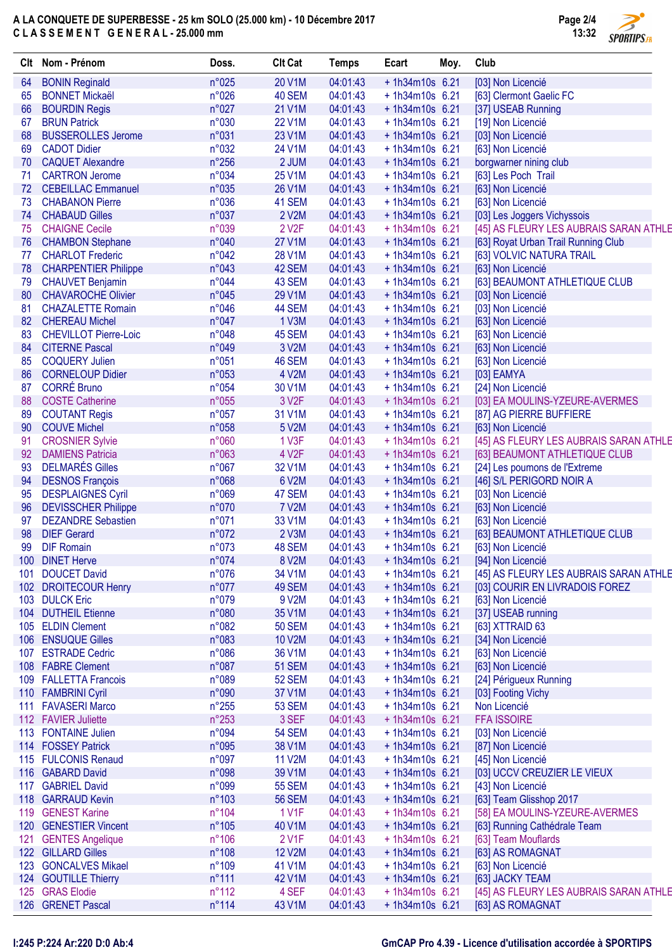# A LA CONQUETE DE SUPERBESSE - 25 km SOLO (25.000 km) - 10 Décembre 2017 C L A S S E M E N T G E N E R A L - 25.000 mm



| Clt | Nom - Prénom                 | Doss.          | <b>Clt Cat</b>     | <b>Temps</b> | Ecart            | Moy. | Club                                   |
|-----|------------------------------|----------------|--------------------|--------------|------------------|------|----------------------------------------|
| 64  | <b>BONIN Reginald</b>        | n°025          | 20 V1M             | 04:01:43     | +1h34m10s 6.21   |      | [03] Non Licencié                      |
| 65  | <b>BONNET Mickaël</b>        | n°026          | 40 SEM             | 04:01:43     | +1h34m10s 6.21   |      | [63] Clermont Gaelic FC                |
| 66  | <b>BOURDIN Regis</b>         | n°027          | 21 V1M             | 04:01:43     | $+1h34m10s$ 6.21 |      | [37] USEAB Running                     |
| 67  | <b>BRUN Patrick</b>          | n°030          | 22 V1M             | 04:01:43     | +1h34m10s 6.21   |      | [19] Non Licencié                      |
| 68  | <b>BUSSEROLLES Jerome</b>    | n°031          | 23 V1M             | 04:01:43     | + 1h34m10s 6.21  |      | [03] Non Licencié                      |
| 69  | <b>CADOT Didier</b>          | n°032          | 24 V1M             | 04:01:43     | $+1h34m10s$ 6.21 |      | [63] Non Licencié                      |
| 70  | <b>CAQUET Alexandre</b>      | $n^{\circ}256$ | 2 JUM              | 04:01:43     | $+1h34m10s$ 6.21 |      | borgwarner nining club                 |
| 71  | <b>CARTRON Jerome</b>        | n°034          | 25 V1M             | 04:01:43     | $+1h34m10s$ 6.21 |      | [63] Les Poch Trail                    |
| 72  | <b>CEBEILLAC Emmanuel</b>    | n°035          | 26 V1M             | 04:01:43     | $+1h34m10s$ 6.21 |      | [63] Non Licencié                      |
| 73  | <b>CHABANON Pierre</b>       | n°036          | 41 SEM             | 04:01:43     | $+1h34m10s$ 6.21 |      | [63] Non Licencié                      |
| 74  | <b>CHABAUD Gilles</b>        | n°037          | 2 V2M              | 04:01:43     | $+1h34m10s$ 6.21 |      | [03] Les Joggers Vichyssois            |
| 75  | <b>CHAIGNE Cecile</b>        | n°039          | 2 V <sub>2</sub> F | 04:01:43     | +1h34m10s 6.21   |      | [45] AS FLEURY LES AUBRAIS SARAN ATHLE |
| 76  | <b>CHAMBON Stephane</b>      | n°040          | <b>27 V1M</b>      | 04:01:43     | +1h34m10s 6.21   |      | [63] Royat Urban Trail Running Club    |
| 77  | <b>CHARLOT Frederic</b>      | n°042          | 28 V1M             | 04:01:43     | +1h34m10s 6.21   |      | [63] VOLVIC NATURA TRAIL               |
| 78  | <b>CHARPENTIER Philippe</b>  | n°043          | 42 SEM             | 04:01:43     | +1h34m10s 6.21   |      | [63] Non Licencié                      |
| 79  | <b>CHAUVET Benjamin</b>      | n°044          | 43 SEM             | 04:01:43     | $+1h34m10s$ 6.21 |      | [63] BEAUMONT ATHLETIQUE CLUB          |
| 80  | <b>CHAVAROCHE Olivier</b>    | n°045          | 29 V1M             | 04:01:43     | + 1h34m10s 6.21  |      | [03] Non Licencié                      |
| 81  | <b>CHAZALETTE Romain</b>     | n°046          | 44 SEM             | 04:01:43     | +1h34m10s 6.21   |      | [03] Non Licencié                      |
| 82  | <b>CHEREAU Michel</b>        | n°047          | 1 V3M              | 04:01:43     | $+1h34m10s$ 6.21 |      | [63] Non Licencié                      |
| 83  | <b>CHEVILLOT Pierre-Loic</b> | n°048          | 45 SEM             | 04:01:43     | +1h34m10s 6.21   |      | [63] Non Licencié                      |
| 84  | <b>CITERNE Pascal</b>        | n°049          | 3 V2M              | 04:01:43     | $+1h34m10s$ 6.21 |      | [63] Non Licencié                      |
| 85  | <b>COQUERY Julien</b>        | n°051          | 46 SEM             | 04:01:43     | $+1h34m10s$ 6.21 |      | [63] Non Licencié                      |
| 86  | <b>CORNELOUP Didier</b>      | n°053          | 4 V2M              | 04:01:43     | $+1h34m10s$ 6.21 |      | $[03]$ EAMYA                           |
| 87  | <b>CORRÉ Bruno</b>           | n°054          | 30 V1M             | 04:01:43     | $+1h34m10s$ 6.21 |      | [24] Non Licencié                      |
| 88  | <b>COSTE Catherine</b>       | n°055          | 3 V <sub>2</sub> F | 04:01:43     | $+1h34m10s$ 6.21 |      | [03] EA MOULINS-YZEURE-AVERMES         |
| 89  | <b>COUTANT Regis</b>         | n°057          | 31 V1M             | 04:01:43     | $+1h34m10s$ 6.21 |      | [87] AG PIERRE BUFFIERE                |
| 90  | <b>COUVE Michel</b>          | n°058          | 5 V2M              | 04:01:43     | $+1h34m10s$ 6.21 |      | [63] Non Licencié                      |
| 91  | <b>CROSNIER Sylvie</b>       | n°060          | 1 V3F              | 04:01:43     | +1h34m10s 6.21   |      | [45] AS FLEURY LES AUBRAIS SARAN ATHLE |
| 92  | <b>DAMIENS Patricia</b>      | n°063          | 4 V <sub>2</sub> F | 04:01:43     | $+1h34m10s$ 6.21 |      | [63] BEAUMONT ATHLETIQUE CLUB          |
| 93  | <b>DELMARÉS Gilles</b>       | n°067          | 32 V1M             | 04:01:43     | +1h34m10s 6.21   |      | [24] Les poumons de l'Extreme          |
| 94  | <b>DESNOS François</b>       | n°068          | 6 V2M              | 04:01:43     | + 1h34m10s 6.21  |      | [46] S/L PERIGORD NOIR A               |
| 95  | <b>DESPLAIGNES Cyril</b>     | n°069          | 47 SEM             | 04:01:43     | $+1h34m10s$ 6.21 |      | [03] Non Licencié                      |
| 96  | <b>DEVISSCHER Philippe</b>   | n°070          | <b>7 V2M</b>       | 04:01:43     | $+1h34m10s$ 6.21 |      | [63] Non Licencié                      |
| 97  | <b>DEZANDRE Sebastien</b>    | n°071          | 33 V1M             | 04:01:43     | $+1h34m10s$ 6.21 |      | [63] Non Licencié                      |
| 98  | <b>DIEF Gerard</b>           | n°072          | 2 V3M              | 04:01:43     | + 1h34m10s 6.21  |      | [63] BEAUMONT ATHLETIQUE CLUB          |
| 99  | <b>DIF Romain</b>            | n°073          | 48 SEM             | 04:01:43     | +1h34m10s 6.21   |      | [63] Non Licencié                      |
|     | 100 DINET Herve              | n°074          | 8 V2M              | 04:01:43     | +1h34m10s 6.21   |      | [94] Non Licencié                      |
| 101 | <b>DOUCET David</b>          | n°076          | 34 V1M             | 04:01:43     | +1h34m10s 6.21   |      | [45] AS FLEURY LES AUBRAIS SARAN ATHLE |
|     | 102 DROITECOUR Henry         | n°077          | 49 SEM             | 04:01:43     | + 1h34m10s 6.21  |      | [03] COURIR EN LIVRADOIS FOREZ         |
|     | 103 DULCK Eric               | n°079          | 9 V2M              | 04:01:43     | $+1h34m10s$ 6.21 |      | [63] Non Licencié                      |
|     | 104 DUTHEIL Etienne          | n°080          | 35 V1M             | 04:01:43     | +1h34m10s 6.21   |      | [37] USEAB running                     |
|     | 105 ELDIN Clement            | n°082          | <b>50 SEM</b>      | 04:01:43     | $+1h34m10s$ 6.21 |      | [63] XTTRAID 63                        |
|     | 106 ENSUQUE Gilles           | n°083          | 10 V2M             | 04:01:43     | +1h34m10s 6.21   |      | [34] Non Licencié                      |
|     | 107 ESTRADE Cedric           | n°086          | 36 V1M             | 04:01:43     | $+1h34m10s$ 6.21 |      | [63] Non Licencié                      |
|     | 108 FABRE Clement            | n°087          | <b>51 SEM</b>      | 04:01:43     | $+1h34m10s$ 6.21 |      | [63] Non Licencié                      |
|     | 109 FALLETTA Francois        | n°089          | <b>52 SEM</b>      | 04:01:43     | +1h34m10s 6.21   |      | [24] Périgueux Running                 |
|     | 110 FAMBRINI Cyril           | n°090          | 37 V1M             | 04:01:43     | $+1h34m10s$ 6.21 |      | [03] Footing Vichy                     |
| 111 | <b>FAVASERI Marco</b>        | $n^{\circ}255$ | <b>53 SEM</b>      | 04:01:43     | $+1h34m10s$ 6.21 |      | Non Licencié                           |
|     | 112 FAVIER Juliette          | $n^{\circ}253$ | 3 SEF              | 04:01:43     | + 1h34m10s 6.21  |      | <b>FFA ISSOIRE</b>                     |
| 113 | <b>FONTAINE Julien</b>       | n°094          | <b>54 SEM</b>      | 04:01:43     | $+1h34m10s$ 6.21 |      | [03] Non Licencié                      |
|     | 114 FOSSEY Patrick           | n°095          | 38 V1M             | 04:01:43     | $+1h34m10s$ 6.21 |      | [87] Non Licencié                      |
|     | 115 FULCONIS Renaud          | n°097          | <b>11 V2M</b>      | 04:01:43     | $+1h34m10s$ 6.21 |      | [45] Non Licencié                      |
|     | 116 GABARD David             | n°098          | 39 V1M             | 04:01:43     | $+1h34m10s$ 6.21 |      | [03] UCCV CREUZIER LE VIEUX            |
|     | 117 GABRIEL David            | n°099          | <b>55 SEM</b>      | 04:01:43     | $+1h34m10s$ 6.21 |      | [43] Non Licencié                      |
|     | 118 GARRAUD Kevin            | $n^{\circ}103$ | <b>56 SEM</b>      | 04:01:43     | +1h34m10s 6.21   |      | [63] Team Glisshop 2017                |
|     | 119 GENEST Karine            | $n^{\circ}104$ | 1 V1F              | 04:01:43     | $+1h34m10s$ 6.21 |      | [58] EA MOULINS-YZEURE-AVERMES         |
|     | 120 GENESTIER Vincent        | $n^{\circ}105$ | 40 V1M             | 04:01:43     | + 1h34m10s 6.21  |      | [63] Running Cathédrale Team           |
| 121 | <b>GENTES Angelique</b>      | $n^{\circ}106$ | 2 V <sub>1</sub> F | 04:01:43     | +1h34m10s 6.21   |      | [63] Team Mouflards                    |
|     | 122 GILLARD Gilles           | $n^{\circ}108$ | <b>12 V2M</b>      | 04:01:43     | +1h34m10s 6.21   |      | [63] AS ROMAGNAT                       |
|     | 123 GONCALVES Mikael         | n°109          | 41 V1M             | 04:01:43     | $+1h34m10s$ 6.21 |      | [63] Non Licencié                      |
|     | 124 GOUTILLE Thierry         | n°111          | 42 V1M             | 04:01:43     | + 1h34m10s 6.21  |      | [63] JACKY TEAM                        |
|     | 125 GRAS Elodie              | $n^{\circ}112$ | 4 SEF              | 04:01:43     | +1h34m10s 6.21   |      | [45] AS FLEURY LES AUBRAIS SARAN ATHLE |
|     | 126 GRENET Pascal            | n°114          | 43 V1M             | 04:01:43     | + 1h34m10s 6.21  |      | [63] AS ROMAGNAT                       |

### I:245 P:224 Ar:220 D:0 Ab:4 GmCAP Pro 4.39 - Licence d'utilisation accordée à SPORTIPS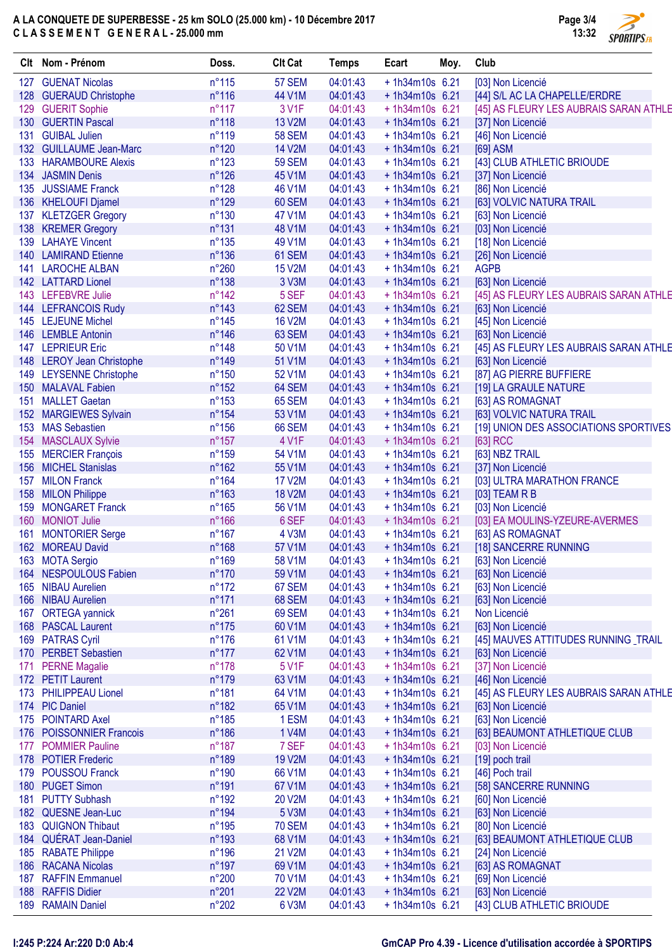# A LA CONQUETE DE SUPERBESSE - 25 km SOLO (25.000 km) - 10 Décembre 2017 C L A S S E M E N T G E N E R A L - 25.000 mm



|     | Clt Nom - Prénom                           | Doss.           | <b>Clt Cat</b>  | <b>Temps</b>         | Ecart            | Moy. | Club                                   |
|-----|--------------------------------------------|-----------------|-----------------|----------------------|------------------|------|----------------------------------------|
|     | 127 GUENAT Nicolas                         | $n^{\circ}115$  | 57 SEM          | 04:01:43             | $+1h34m10s$ 6.21 |      | [03] Non Licencié                      |
|     | 128 GUERAUD Christophe                     | $n^{\circ}116$  | 44 V1M          | 04:01:43             | $+1h34m10s$ 6.21 |      | [44] S/L AC LA CHAPELLE/ERDRE          |
|     | 129 GUERIT Sophie                          | $n^{\circ}117$  | 3 V1F           | 04:01:43             | $+1h34m10s$ 6.21 |      | [45] AS FLEURY LES AUBRAIS SARAN ATHLE |
|     | 130 GUERTIN Pascal                         | $n^{\circ}118$  | 13 V2M          | 04:01:43             | $+1h34m10s$ 6.21 |      | [37] Non Licencié                      |
| 131 | <b>GUIBAL Julien</b>                       | $n^{\circ}119$  | <b>58 SEM</b>   | 04:01:43             | $+1h34m10s$ 6.21 |      | [46] Non Licencié                      |
|     | 132 GUILLAUME Jean-Marc                    | $n^{\circ}120$  | <b>14 V2M</b>   | 04:01:43             | $+1h34m10s$ 6.21 |      | [69] ASM                               |
|     | 133 HARAMBOURE Alexis                      | $n^{\circ}123$  | <b>59 SEM</b>   | 04:01:43             | $+1h34m10s$ 6.21 |      | [43] CLUB ATHLETIC BRIOUDE             |
|     | 134 JASMIN Denis                           | $n^{\circ}126$  | 45 V1M          | 04:01:43             | $+1h34m10s$ 6.21 |      | [37] Non Licencié                      |
|     | 135 JUSSIAME Franck                        | $n^{\circ}128$  | 46 V1M          | 04:01:43             | $+1h34m10s$ 6.21 |      | [86] Non Licencié                      |
|     | 136 KHELOUFI Djamel                        | $n^{\circ}129$  | 60 SEM          | 04:01:43             | $+1h34m10s$ 6.21 |      | [63] VOLVIC NATURA TRAIL               |
|     | 137 KLETZGER Gregory                       | $n^{\circ}130$  | 47 V1M          | 04:01:43             | $+1h34m10s$ 6.21 |      | [63] Non Licencié                      |
|     | 138 KREMER Gregory                         | $n^{\circ}131$  | 48 V1M          | 04:01:43             | $+1h34m10s$ 6.21 |      | [03] Non Licencié                      |
|     | 139 LAHAYE Vincent                         | $n^{\circ}135$  | 49 V1M          | 04:01:43             | $+1h34m10s$ 6.21 |      | [18] Non Licencié                      |
|     | 140 LAMIRAND Etienne                       | $n^{\circ}136$  | 61 SEM          | 04:01:43             | $+1h34m10s$ 6.21 |      | [26] Non Licencié                      |
|     | 141 LAROCHE ALBAN                          | $n^{\circ}260$  | <b>15 V2M</b>   | 04:01:43             | $+1h34m10s$ 6.21 |      | <b>AGPB</b>                            |
|     | 142 LATTARD Lionel                         | $n^{\circ}138$  | 3 V3M           | 04:01:43             | $+1h34m10s$ 6.21 |      | [63] Non Licencié                      |
|     | 143 LEFEBVRE Julie                         | $n^{\circ}$ 142 | 5 SEF           | 04:01:43             | $+1h34m10s$ 6.21 |      | [45] AS FLEURY LES AUBRAIS SARAN ATHLE |
|     | 144 LEFRANCOIS Rudy                        | $n^{\circ}$ 143 | 62 SEM          | 04:01:43             | $+1h34m10s$ 6.21 |      | [63] Non Licencié                      |
|     | 145 LEJEUNE Michel                         | $n^{\circ}145$  | <b>16 V2M</b>   | 04:01:43             | $+1h34m10s$ 6.21 |      | [45] Non Licencié                      |
|     | 146 LEMBLE Antonin                         | $n^{\circ}$ 146 | 63 SEM          | 04:01:43             | $+1h34m10s$ 6.21 |      | [63] Non Licencié                      |
|     | 147 LEPRIEUR Eric                          | $n^{\circ}$ 148 | 50 V1M          | 04:01:43             | $+1h34m10s$ 6.21 |      | [45] AS FLEURY LES AUBRAIS SARAN ATHLE |
|     | 148 LEROY Jean Christophe                  | $n^{\circ}$ 149 | 51 V1M          | 04:01:43             | $+1h34m10s$ 6.21 |      | [63] Non Licencié                      |
|     | 149 LEYSENNE Christophe                    | $n^{\circ}150$  | 52 V1M          | 04:01:43             | $+1h34m10s$ 6.21 |      | [87] AG PIERRE BUFFIERE                |
|     | 150 MALAVAL Fabien                         | $n^{\circ}152$  | 64 SEM          | 04:01:43             | $+1h34m10s$ 6.21 |      | [19] LA GRAULE NATURE                  |
|     | 151 MALLET Gaetan                          | $n^{\circ}153$  | <b>65 SEM</b>   | 04:01:43             | $+1h34m10s$ 6.21 |      | [63] AS ROMAGNAT                       |
|     | 152 MARGIEWES Sylvain                      | $n^{\circ}154$  | 53 V1M          | 04:01:43             | $+1h34m10s$ 6.21 |      | [63] VOLVIC NATURA TRAIL               |
|     | 153 MAS Sebastien                          | $n^{\circ}156$  | 66 SEM          | 04:01:43             | $+1h34m10s$ 6.21 |      | [19] UNION DES ASSOCIATIONS SPORTIVES  |
|     | 154 MASCLAUX Sylvie                        | $n^{\circ}157$  | 4 V1F           | 04:01:43             | $+1h34m10s$ 6.21 |      | [63] RCC                               |
|     | 155 MERCIER François                       | $n^{\circ}159$  | 54 V1M          | 04:01:43             | $+1h34m10s$ 6.21 |      | [63] NBZ TRAIL                         |
|     | 156 MICHEL Stanislas                       | $n^{\circ}162$  | 55 V1M          | 04:01:43             | $+1h34m10s$ 6.21 |      | [37] Non Licencié                      |
|     | 157 MILON Franck                           | $n^{\circ}164$  | <b>17 V2M</b>   | 04:01:43             | $+1h34m10s$ 6.21 |      | [03] ULTRA MARATHON FRANCE             |
|     | 158 MILON Philippe                         | $n^{\circ}163$  | <b>18 V2M</b>   | 04:01:43             | $+1h34m10s$ 6.21 |      |                                        |
|     | 159 MONGARET Franck                        | $n^{\circ}165$  |                 |                      |                  |      | $[03]$ TEAM R B                        |
|     |                                            | $n^{\circ}166$  | 56 V1M<br>6 SEF | 04:01:43             | $+1h34m10s$ 6.21 |      | [03] Non Licencié                      |
|     | 160 MONIOT Julie                           |                 |                 | 04:01:43<br>04:01:43 | $+1h34m10s$ 6.21 |      | [03] EA MOULINS-YZEURE-AVERMES         |
| 161 | <b>MONTORIER Serge</b><br>162 MOREAU David | $n^{\circ}167$  | 4 V3M           |                      | $+1h34m10s$ 6.21 |      | [63] AS ROMAGNAT                       |
|     |                                            | $n^{\circ}168$  | 57 V1M          | 04:01:43             | $+1h34m10s$ 6.21 |      | [18] SANCERRE RUNNING                  |
|     | 163 MOTA Sergio                            | n°169           | 58 V1M          | 04:01:43             | $+1h34m10s$ 6.21 |      | [63] Non Licencié                      |
|     | 164 NESPOULOUS Fabien                      | $n^{\circ}170$  | 59 V1M          | 04:01:43             | $+1h34m10s$ 6.21 |      | [63] Non Licencié                      |
|     | 165 NIBAU Aurelien                         | $n^{\circ}172$  | 67 SEM          | 04:01:43             | $+1h34m10s$ 6.21 |      | [63] Non Licencié                      |
|     | 166 NIBAU Aurelien                         | $n^{\circ}171$  | 68 SEM          | 04:01:43             | +1h34m10s 6.21   |      | [63] Non Licencié                      |
|     | 167 ORTEGA yannick                         | $n^{\circ}261$  | 69 SEM          | 04:01:43             | $+1h34m10s$ 6.21 |      | Non Licencié                           |
|     | 168 PASCAL Laurent                         | $n^{\circ}175$  | 60 V1M          | 04:01:43             | $+1h34m10s$ 6.21 |      | [63] Non Licencié                      |
|     | 169 PATRAS Cyril                           | $n^{\circ}176$  | 61 V1M          | 04:01:43             | $+1h34m10s$ 6.21 |      | [45] MAUVES ATTITUDES RUNNING _TRAIL   |
|     | 170 PERBET Sebastien                       | $n^{\circ}177$  | 62 V1M          | 04:01:43             | $+1h34m10s$ 6.21 |      | [63] Non Licencié                      |
| 171 | <b>PERNE Magalie</b>                       | $n^{\circ}178$  | 5 V1F           | 04:01:43             | $+1h34m10s$ 6.21 |      | [37] Non Licencié                      |
|     | 172 PETIT Laurent                          | $n^{\circ}179$  | 63 V1M          | 04:01:43             | $+1h34m10s$ 6.21 |      | [46] Non Licencié                      |
|     | 173 PHILIPPEAU Lionel                      | $n^{\circ}181$  | 64 V1M          | 04:01:43             | $+1h34m10s$ 6.21 |      | [45] AS FLEURY LES AUBRAIS SARAN ATHLE |
|     | 174 PIC Daniel                             | n°182           | 65 V1M          | 04:01:43             | $+1h34m10s$ 6.21 |      | [63] Non Licencié                      |
|     | 175 POINTARD Axel                          | $n^{\circ}185$  | 1 ESM           | 04:01:43             | $+1h34m10s$ 6.21 |      | [63] Non Licencié                      |
|     | 176 POISSONNIER Francois                   | $n^{\circ}186$  | 1 V4M           | 04:01:43             | $+1h34m10s$ 6.21 |      | [63] BEAUMONT ATHLETIQUE CLUB          |
| 177 | <b>POMMIER Pauline</b>                     | $n^{\circ}187$  | 7 SEF           | 04:01:43             | $+1h34m10s$ 6.21 |      | [03] Non Licencié                      |
|     | 178 POTIER Frederic                        | n°189           | <b>19 V2M</b>   | 04:01:43             | $+1h34m10s$ 6.21 |      | [19] poch trail                        |
|     | 179 POUSSOU Franck                         | $n^{\circ}$ 190 | 66 V1M          | 04:01:43             | $+1h34m10s$ 6.21 |      | [46] Poch trail                        |
|     | 180 PUGET Simon                            | n°191           | 67 V1M          | 04:01:43             | $+1h34m10s$ 6.21 |      | [58] SANCERRE RUNNING                  |
| 181 | <b>PUTTY Subhash</b>                       | $n^{\circ}$ 192 | 20 V2M          | 04:01:43             | $+1h34m10s$ 6.21 |      | [60] Non Licencié                      |
|     | 182 QUESNE Jean-Luc                        | n°194           | 5 V3M           | 04:01:43             | $+1h34m10s$ 6.21 |      | [63] Non Licencié                      |
|     | 183 QUIGNON Thibaut                        | $n^{\circ}$ 195 | <b>70 SEM</b>   | 04:01:43             | $+1h34m10s$ 6.21 |      | [80] Non Licencié                      |
|     | 184 QUÉRAT Jean-Daniel                     | n°193           | 68 V1M          | 04:01:43             | $+1h34m10s$ 6.21 |      | [63] BEAUMONT ATHLETIQUE CLUB          |
|     | 185 RABATE Philippe                        | $n^{\circ}$ 196 | 21 V2M          | 04:01:43             | $+1h34m10s$ 6.21 |      | [24] Non Licencié                      |
|     | 186 RACANA Nicolas                         | $n^{\circ}$ 197 | 69 V1M          | 04:01:43             | $+1h34m10s$ 6.21 |      | [63] AS ROMAGNAT                       |
| 187 | <b>RAFFIN Emmanuel</b>                     | $n^{\circ}200$  | 70 V1M          | 04:01:43             | +1h34m10s 6.21   |      | [69] Non Licencié                      |
|     | 188 RAFFIS Didier                          | n°201           | <b>22 V2M</b>   | 04:01:43             | $+1h34m10s$ 6.21 |      | [63] Non Licencié                      |
|     | 189 RAMAIN Daniel                          | $n^{\circ}202$  | 6 V3M           | 04:01:43             | $+1h34m10s$ 6.21 |      | [43] CLUB ATHLETIC BRIOUDE             |
|     |                                            |                 |                 |                      |                  |      |                                        |

### I:245 P:224 Ar:220 D:0 Ab:4 GmCAP Pro 4.39 - Licence d'utilisation accordée à SPORTIPS